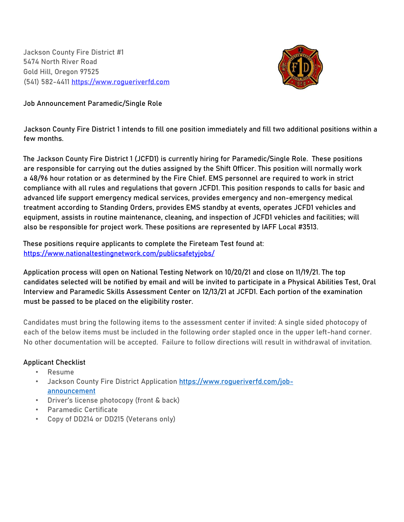Jackson County Fire District #1 5474 North River Road Gold Hill, Oregon 97525 (541) 582-4411 [https://www.rogueriverfd.com](https://www.rogueriverfd.com/)



**Job Announcement** Paramedic/Single Role

**Jackson County Fire District 1 intends to fill one position immediately and fill two additional positions within a few months.**

The Jackson County Fire District 1 (JCFD1) is currently hiring for Paramedic/Single Role. These positions are responsible for carrying out the duties assigned by the Shift Officer. This position will normally work a 48/96 hour rotation or as determined by the Fire Chief. EMS personnel are required to work in strict compliance with all rules and regulations that govern JCFD1. This position responds to calls for basic and advanced life support emergency medical services, provides emergency and non-emergency medical treatment according to Standing Orders, provides EMS standby at events, operates JCFD1 vehicles and equipment, assists in routine maintenance, cleaning, and inspection of JCFD1 vehicles and facilities; will also be responsible for project work. These positions are represented by IAFF Local #3513.

These positions require applicants to complete the Fireteam Test found at: <https://www.nationaltestingnetwork.com/publicsafetyjobs/>

Application process will open on National Testing Network on 10/20/21 and close on 11/19/21. The top candidates selected will be notified by email and will be invited to participate in a Physical Abilities Test, Oral Interview and Paramedic Skills Assessment Center on 12/13/21 at JCFD1. Each portion of the examination must be passed to be placed on the eligibility roster.

Candidates must bring the following items to the assessment center if invited: A single sided photocopy of each of the below items must be included in the following order stapled once in the upper left-hand corner. No other documentation will be accepted. Failure to follow directions will result in withdrawal of invitation.

# Applicant Checklist

- Resume
- Jackson County Fire District Applicati[on https://www.rogueriverfd.com/job](https://www.rogueriverfd.com/job-announcement)[announcement](https://www.rogueriverfd.com/job-announcement)
- Driver's license photocopy (front & back)
- Paramedic Certificate
- Copy of DD214 or DD215 (Veterans only)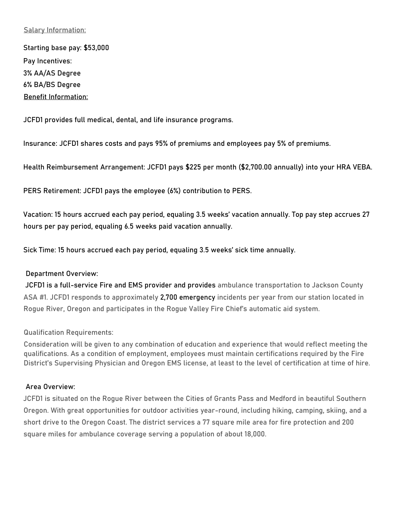## **Salary Information**:

Starting base pay: \$53,000 Pay Incentives: 3% AA/AS Degree 6% BA/BS Degree **Benefit Information**:

JCFD1 provides full medical, dental, and life insurance programs.

**Insurance**: JCFD1 shares costs and pays 95% of premiums and employees pay 5% of premiums.

**Health Reimbursement Arrangement**: JCFD1 pays \$225 per month (\$2,700.00 annually) into your HRA VEBA.

**PERS Retirement**: JCFD1 pays the employee (6%) contribution to PERS.

**Vacation**: 15 hours accrued each pay period, equaling 3.5 weeks' vacation annually. Top pay step accrues 27 hours per pay period, equaling 6.5 weeks paid vacation annually.

**Sick Time**: 15 hours accrued each pay period, equaling 3.5 weeks' sick time annually.

#### **Department Overview**:

JCFD1 is a full-service Fire and EMS provider and provides ambulance transportation to Jackson County ASA #1. JCFD1 responds to approximately 2,700 emergency incidents per year from our station located in Rogue River, Oregon and participates in the Rogue Valley Fire Chief's automatic aid system.

**Qualification Requirements**:

Consideration will be given to any combination of education and experience that would reflect meeting the qualifications. As a condition of employment, employees must maintain certifications required by the Fire District's Supervising Physician and Oregon EMS license, at least to the level of certification at time of hire.

#### **Area Overview**:

JCFD1 is situated on the Rogue River between the Cities of Grants Pass and Medford in beautiful Southern Oregon. With great opportunities for outdoor activities year-round, including hiking, camping, skiing, and a short drive to the Oregon Coast. The district services a 77 square mile area for fire protection and 200 square miles for ambulance coverage serving a population of about 18,000.